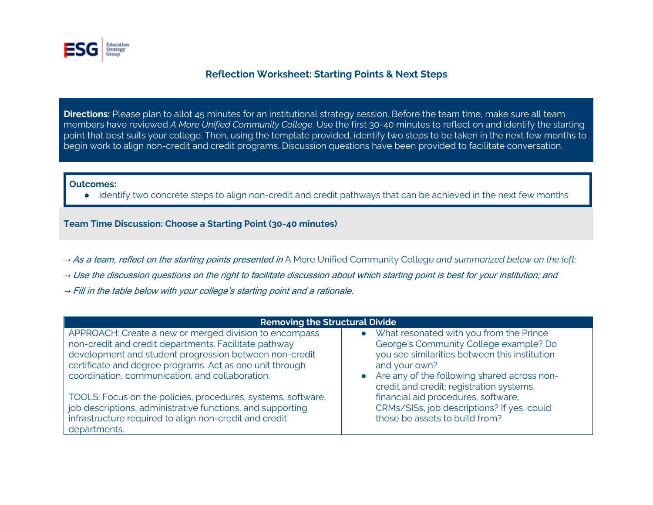

## **Reflection Worksheet: Starting Points & Next Steps**

**Directions:** Please plan to allot 45 minutes for an institutional strategy session. Before the team time, make sure all team members have reviewed *A More Unified Community College*. Use the first 30-40 minutes to reflect on and identify the starting point that best suits your college. Then, using the template provided, identify two steps to be taken in the next few months to begin work to align non-credit and credit programs. Discussion questions have been provided to facilitate conversation.

## **Outcomes:**

● Identify two concrete steps to align non-credit and credit pathways that can be achieved in the next few months

**Team Time Discussion: Choose a Starting Point (30-40 minutes)**

- → As a team, reflect on the starting points presented in A More Unified Community College and summarized below on the left;
- $\rightarrow$  Use the discussion questions on the right to facilitate discussion about which starting point is best for your institution; and
- $\rightarrow$  Fill in the table below with your college's starting point and a rationale.

| <b>Removing the Structural Divide</b>                        |                                                                                                      |  |  |  |  |
|--------------------------------------------------------------|------------------------------------------------------------------------------------------------------|--|--|--|--|
| APPROACH: Create a new or merged division to encompass       | What resonated with you from the Prince<br>$\bullet$                                                 |  |  |  |  |
| non-credit and credit departments. Facilitate pathway        | George's Community College example? Do                                                               |  |  |  |  |
| development and student progression between non-credit       | you see similarities between this institution                                                        |  |  |  |  |
| certificate and degree programs. Act as one unit through     | and your own?                                                                                        |  |  |  |  |
| coordination, communication, and collaboration.              | Are any of the following shared across non-<br>$\bullet$<br>credit and credit: registration systems, |  |  |  |  |
| TOOLS: Focus on the policies, procedures, systems, software, | financial aid procedures, software,                                                                  |  |  |  |  |
| job descriptions, administrative functions, and supporting   | CRMs/SISs, job descriptions? If yes, could                                                           |  |  |  |  |
| infrastructure required to align non-credit and credit       | these be assets to build from?                                                                       |  |  |  |  |
| departments.                                                 |                                                                                                      |  |  |  |  |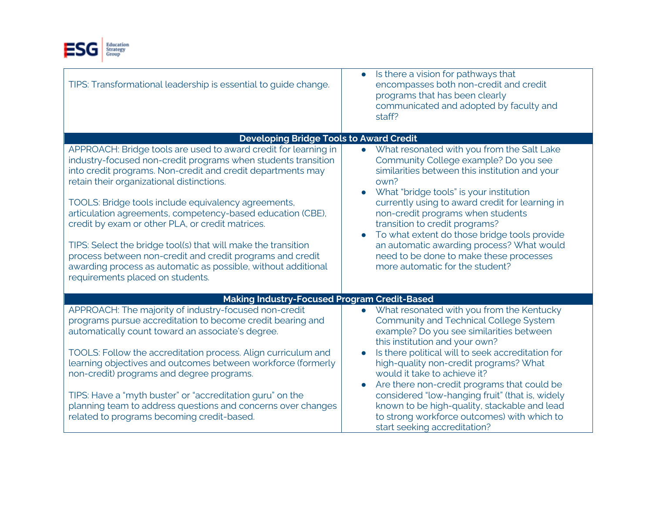

| TIPS: Transformational leadership is essential to guide change.                                                                                                                                                                                                                                                                                                                                                                                                                                                                                                                                                                                          | Is there a vision for pathways that<br>$\bullet$<br>encompasses both non-credit and credit<br>programs that has been clearly<br>communicated and adopted by faculty and<br>staff?                                                                                                                                                                                                                                                                                                                                                                                               |  |  |  |  |  |
|----------------------------------------------------------------------------------------------------------------------------------------------------------------------------------------------------------------------------------------------------------------------------------------------------------------------------------------------------------------------------------------------------------------------------------------------------------------------------------------------------------------------------------------------------------------------------------------------------------------------------------------------------------|---------------------------------------------------------------------------------------------------------------------------------------------------------------------------------------------------------------------------------------------------------------------------------------------------------------------------------------------------------------------------------------------------------------------------------------------------------------------------------------------------------------------------------------------------------------------------------|--|--|--|--|--|
| <b>Developing Bridge Tools to Award Credit</b>                                                                                                                                                                                                                                                                                                                                                                                                                                                                                                                                                                                                           |                                                                                                                                                                                                                                                                                                                                                                                                                                                                                                                                                                                 |  |  |  |  |  |
| APPROACH: Bridge tools are used to award credit for learning in<br>industry-focused non-credit programs when students transition<br>into credit programs. Non-credit and credit departments may<br>retain their organizational distinctions.<br>TOOLS: Bridge tools include equivalency agreements,<br>articulation agreements, competency-based education (CBE),<br>credit by exam or other PLA, or credit matrices.<br>TIPS: Select the bridge tool(s) that will make the transition<br>process between non-credit and credit programs and credit<br>awarding process as automatic as possible, without additional<br>requirements placed on students. | • What resonated with you from the Salt Lake<br>Community College example? Do you see<br>similarities between this institution and your<br>own?<br>What "bridge tools" is your institution<br>$\bullet$<br>currently using to award credit for learning in<br>non-credit programs when students<br>transition to credit programs?<br>To what extent do those bridge tools provide<br>$\bullet$<br>an automatic awarding process? What would<br>need to be done to make these processes<br>more automatic for the student?                                                       |  |  |  |  |  |
| <b>Making Industry-Focused Program Credit-Based</b>                                                                                                                                                                                                                                                                                                                                                                                                                                                                                                                                                                                                      |                                                                                                                                                                                                                                                                                                                                                                                                                                                                                                                                                                                 |  |  |  |  |  |
| APPROACH: The majority of industry-focused non-credit<br>programs pursue accreditation to become credit bearing and<br>automatically count toward an associate's degree.<br>TOOLS: Follow the accreditation process. Align curriculum and<br>learning objectives and outcomes between workforce (formerly<br>non-credit) programs and degree programs.<br>TIPS: Have a "myth buster" or "accreditation guru" on the<br>planning team to address questions and concerns over changes<br>related to programs becoming credit-based.                                                                                                                        | What resonated with you from the Kentucky<br>$\bullet$<br><b>Community and Technical College System</b><br>example? Do you see similarities between<br>this institution and your own?<br>Is there political will to seek accreditation for<br>$\bullet$<br>high-quality non-credit programs? What<br>would it take to achieve it?<br>Are there non-credit programs that could be<br>$\bullet$<br>considered "low-hanging fruit" (that is, widely<br>known to be high-quality, stackable and lead<br>to strong workforce outcomes) with which to<br>start seeking accreditation? |  |  |  |  |  |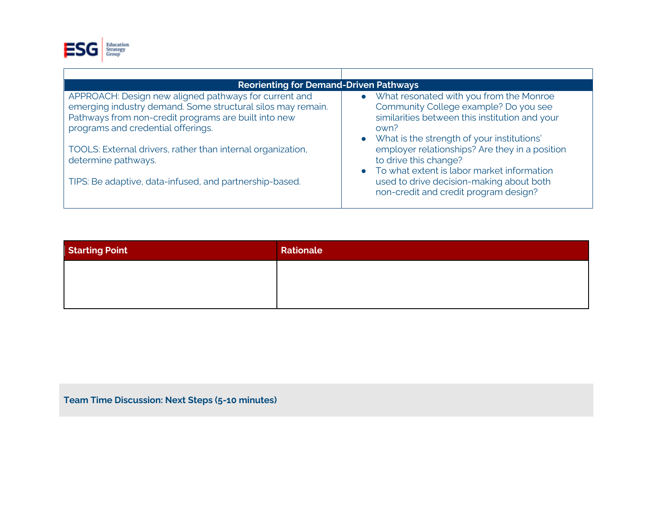

| <b>Reorienting for Demand-Driven Pathways</b>                                                                                                                                                                      |                                                                                                                                                                                              |  |  |  |  |  |
|--------------------------------------------------------------------------------------------------------------------------------------------------------------------------------------------------------------------|----------------------------------------------------------------------------------------------------------------------------------------------------------------------------------------------|--|--|--|--|--|
| APPROACH: Design new aligned pathways for current and<br>emerging industry demand. Some structural silos may remain.<br>Pathways from non-credit programs are built into new<br>programs and credential offerings. | • What resonated with you from the Monroe<br>Community College example? Do you see<br>similarities between this institution and your<br>own?<br>• What is the strength of your institutions' |  |  |  |  |  |
| TOOLS: External drivers, rather than internal organization,<br>determine pathways.                                                                                                                                 | employer relationships? Are they in a position<br>to drive this change?<br>• To what extent is labor market information                                                                      |  |  |  |  |  |
| TIPS: Be adaptive, data-infused, and partnership-based.                                                                                                                                                            | used to drive decision-making about both<br>non-credit and credit program design?                                                                                                            |  |  |  |  |  |

| <b>Starting Point</b> | Rationale |
|-----------------------|-----------|
|                       |           |
|                       |           |

**Team Time Discussion: Next Steps (5-10 minutes)**